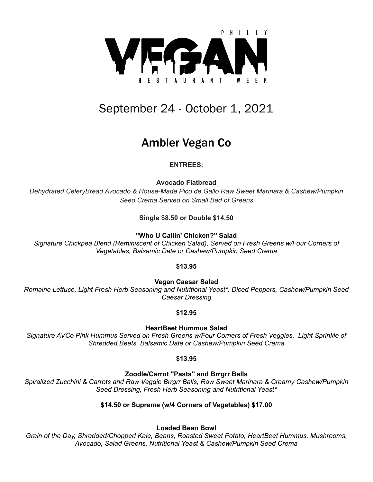

# September 24 - October 1, 2021

# Ambler Vegan Co

# **ENTREES:**

**Avocado Flatbread**

*Dehydrated CeleryBread Avocado & House-Made Pico de Gallo Raw Sweet Marinara & Cashew/Pumpkin Seed Crema Served on Small Bed of Greens*

**Single \$8.50 or Double \$14.50**

**"Who U Callin' Chicken?" Salad**

*Signature Chickpea Blend (Reminiscent of Chicken Salad), Served on Fresh Greens w/Four Corners of Vegetables, Balsamic Date or Cashew/Pumpkin Seed Crema*

# **\$13.95**

**Vegan Caesar Salad**

*Romaine Lettuce, Light Fresh Herb Seasoning and Nutritional Yeast\*, Diced Peppers, Cashew/Pumpkin Seed Caesar Dressing*

## **\$12.95**

**HeartBeet Hummus Salad**

*Signature AVCo Pink Hummus Served on Fresh Greens w/Four Corners of Fresh Veggies, Light Sprinkle of Shredded Beets, Balsamic Date or Cashew/Pumpkin Seed Crema*

## **\$13.95**

**Zoodle/Carrot "Pasta" and Brrgrr Balls**

*Spiralized Zucchini & Carrots and Raw Veggie Brrgrr Balls, Raw Sweet Marinara & Creamy Cashew/Pumpkin Seed Dressing, Fresh Herb Seasoning and Nutritional Yeast\**

# **\$14.50 or Supreme (w/4 Corners of Vegetables) \$17.00**

## **Loaded Bean Bowl**

*Grain of the Day, Shredded/Chopped Kale, Beans, Roasted Sweet Potato, HeartBeet Hummus, Mushrooms, Avocado, Salad Greens, Nutritional Yeast & Cashew/Pumpkin Seed Crema*